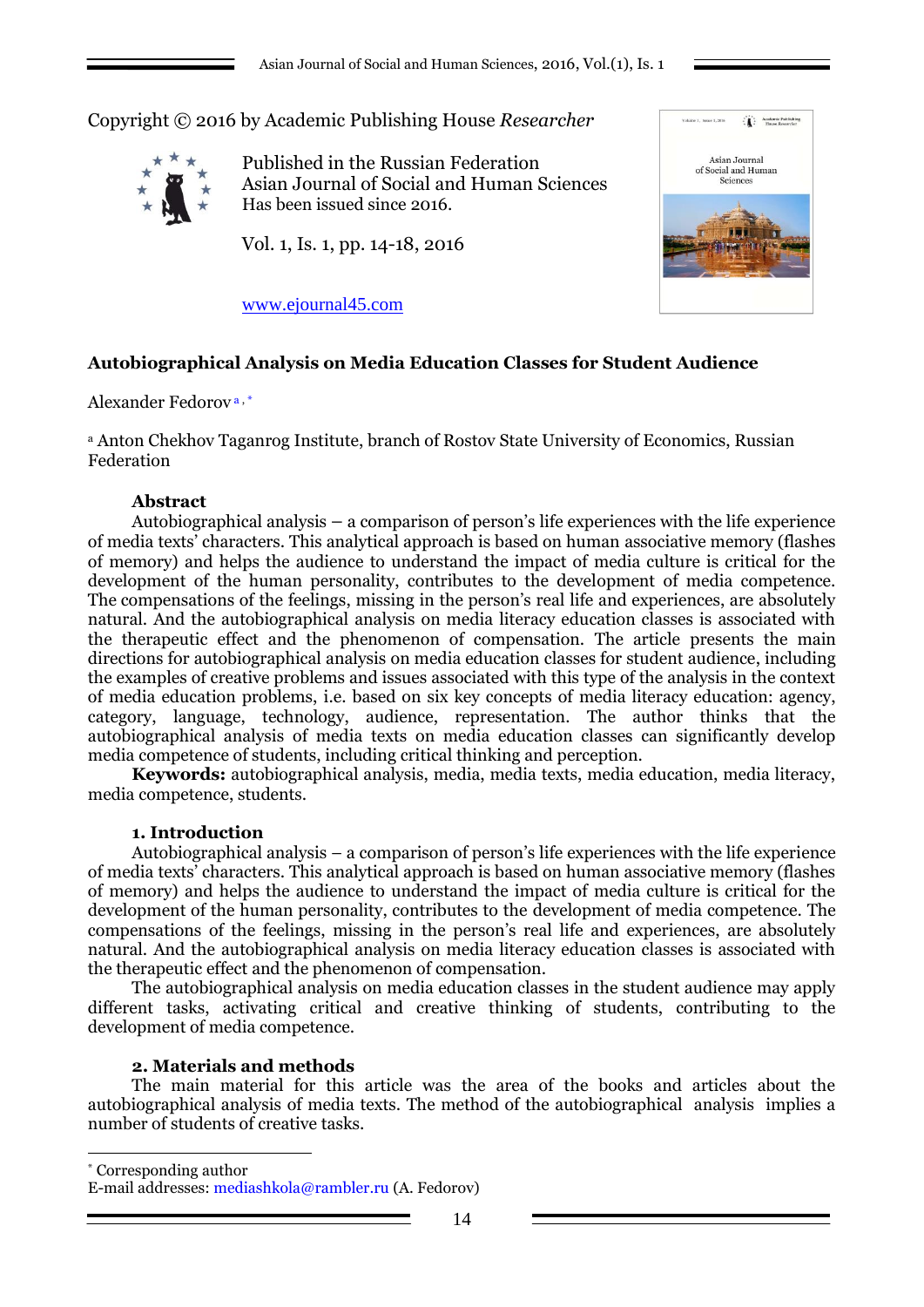Copyright © 2016 by Academic Publishing House *Researcher*



Published in the Russian Federation Asian Journal of Social and Human Sciences Has been issued since 2016.

Vol. 1, Is. 1, pp. 14-18, 2016



[www.ejournal45.com](http://www.ejournal45.com/)

# **Autobiographical Analysis on Media Education Classes for Student Audience**

Alexander Fedorov a , \*

<sup>a</sup> Anton Chekhov Taganrog Institute, branch of Rostov State University of Economics, Russian Federation

### **Abstract**

Autobiographical analysis – a comparison of person's life experiences with the life experience of media texts' characters. This analytical approach is based on human associative memory (flashes of memory) and helps the audience to understand the impact of media culture is critical for the development of the human personality, contributes to the development of media competence. The compensations of the feelings, missing in the person's real life and experiences, are absolutely natural. And the autobiographical analysis on media literacy education classes is associated with the therapeutic effect and the phenomenon of compensation. The article presents the main directions for autobiographical analysis on media education classes for student audience, including the examples of creative problems and issues associated with this type of the analysis in the context of media education problems, i.e. based on six key concepts of media literacy education: agency, category, language, technology, audience, representation. The author thinks that the autobiographical analysis of media texts on media education classes can significantly develop media competence of students, including critical thinking and perception.

**Keywords:** autobiographical analysis, media, media texts, media education, media literacy, media competence, students.

#### **1. Introduction**

Autobiographical analysis – a comparison of person's life experiences with the life experience of media texts' characters. This analytical approach is based on human associative memory (flashes of memory) and helps the audience to understand the impact of media culture is critical for the development of the human personality, contributes to the development of media competence. The compensations of the feelings, missing in the person's real life and experiences, are absolutely natural. And the autobiographical analysis on media literacy education classes is associated with the therapeutic effect and the phenomenon of compensation.

The autobiographical analysis on media education classes in the student audience may apply different tasks, activating critical and creative thinking of students, contributing to the development of media competence.

### **2. Materials and methods**

1

The main material for this article was the area of the books and articles about the autobiographical analysis of media texts. The method of the autobiographical analysis implies a number of students of creative tasks.

\* Corresponding author

E-mail addresses: mediashkola@rambler.ru (A. Fedorov)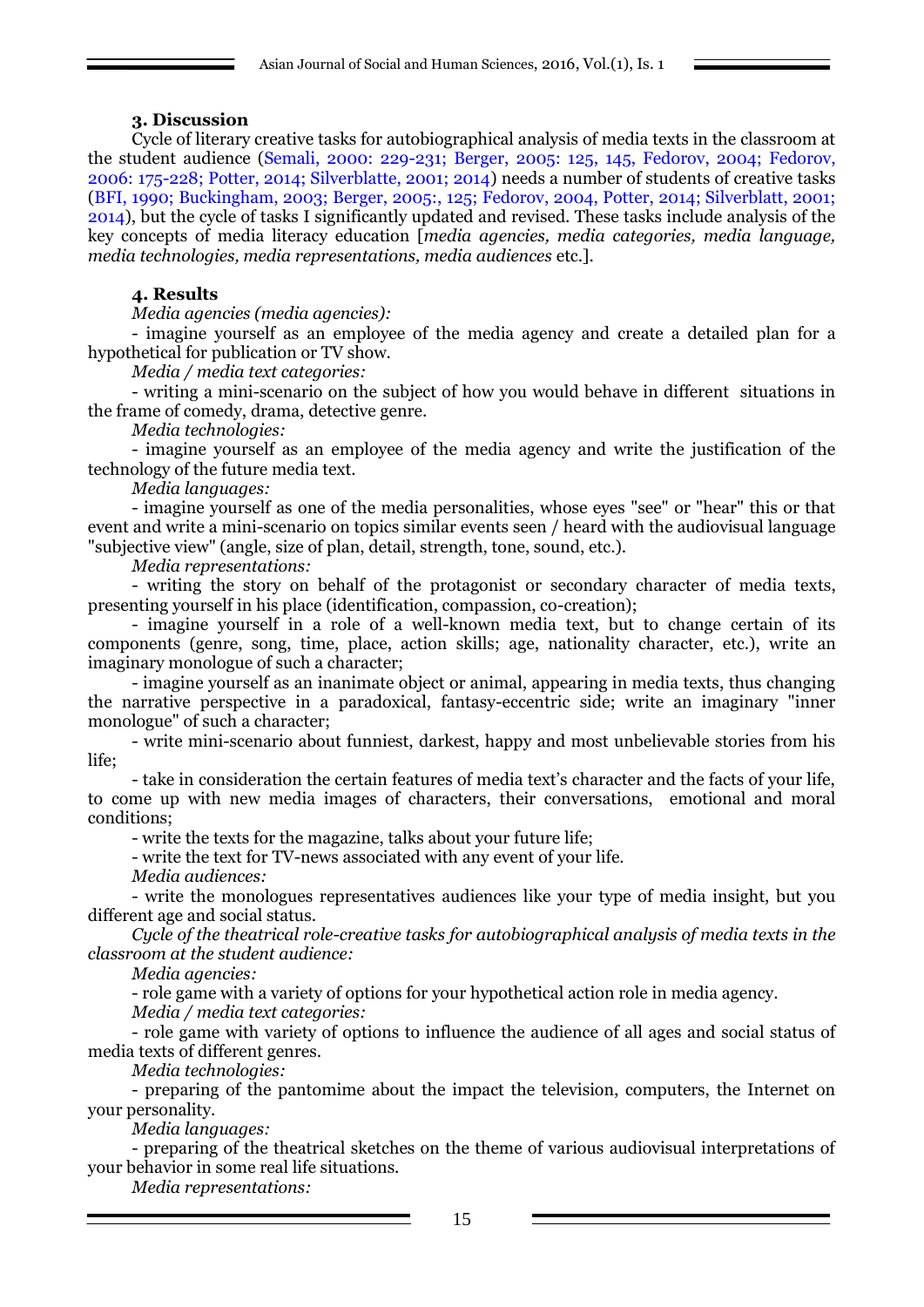## **3. Discussion**

Cycle of literary creative tasks for autobiographical analysis of media texts in the classroom at the student audience (Semali, 2000: 229-231; Berger, 2005: 125, 145, Fedorov, 2004; Fedorov, 2006: 175-228; Potter, 2014; Silverblatte, 2001; 2014) needs a number of students of creative tasks (BFI, 1990; Buckingham, 2003; Berger, 2005:, 125; Fedorov, 2004, Potter, 2014; Silverblatt, 2001; 2014), but the cycle of tasks I significantly updated and revised. These tasks include analysis of the key concepts of media literacy education [*media agencies, media categories, media language, media technologies, media representations, media audiences* etc.].

## **4. Results**

*Media agencies (media agencies):*

- imagine yourself as an employee of the media agency and create a detailed plan for a hypothetical for publication or TV show.

*Media / media text categories:*

- writing a mini-scenario on the subject of how you would behave in different situations in the frame of comedy, drama, detective genre.

*Media technologies:*

- imagine yourself as an employee of the media agency and write the justification of the technology of the future media text.

*Media languages:*

- imagine yourself as one of the media personalities, whose eyes "see" or "hear" this or that event and write a mini-scenario on topics similar events seen / heard with the audiovisual language "subjective view" (angle, size of plan, detail, strength, tone, sound, etc.).

*Media representations:*

- writing the story on behalf of the protagonist or secondary character of media texts, presenting yourself in his place (identification, compassion, co-creation);

- imagine yourself in a role of a well-known media text, but to change certain of its components (genre, song, time, place, action skills; age, nationality character, etc.), write an imaginary monologue of such a character;

- imagine yourself as an inanimate object or animal, appearing in media texts, thus changing the narrative perspective in a paradoxical, fantasy-eccentric side; write an imaginary "inner monologue" of such a character;

- write mini-scenario about funniest, darkest, happy and most unbelievable stories from his life;

- take in consideration the certain features of media text's character and the facts of your life, to come up with new media images of characters, their conversations, emotional and moral conditions;

- write the texts for the magazine, talks about your future life;

- write the text for TV-news associated with any event of your life.

*Media audiences:*

- write the monologues representatives audiences like your type of media insight, but you different age and social status.

*Cycle of the theatrical role-creative tasks for autobiographical analysis of media texts in the classroom at the student audience:*

*Media agencies:*

- role game with a variety of options for your hypothetical action role in media agency.

*Media / media text categories:*

- role game with variety of options to influence the audience of all ages and social status of media texts of different genres.

*Media technologies:*

- preparing of the pantomime about the impact the television, computers, the Internet on your personality.

*Media languages:*

- preparing of the theatrical sketches on the theme of various audiovisual interpretations of your behavior in some real life situations.

*Media representations:*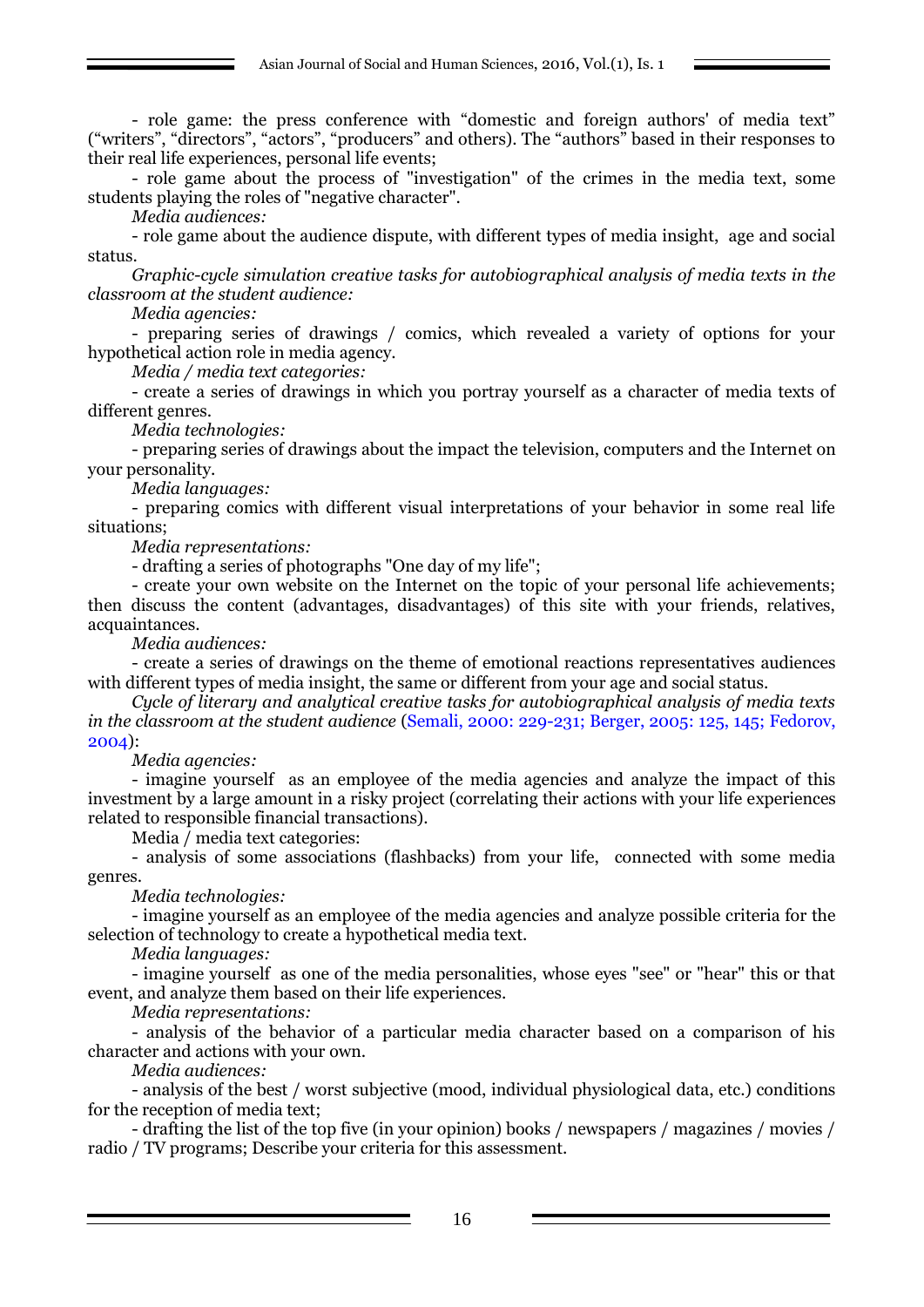- role game: the press conference with "domestic and foreign authors' of media text" ("writers", "directors", "actors", "producers" and others). The "authors" based in their responses to their real life experiences, personal life events;

- role game about the process of "investigation" of the crimes in the media text, some students playing the roles of "negative character".

*Media audiences:*

- role game about the audience dispute, with different types of media insight, age and social status.

*Graphic-cycle simulation creative tasks for autobiographical analysis of media texts in the classroom at the student audience:*

*Media agencies:*

- preparing series of drawings / comics, which revealed a variety of options for your hypothetical action role in media agency.

*Media / media text categories:*

- create a series of drawings in which you portray yourself as a character of media texts of different genres.

*Media technologies:*

- preparing series of drawings about the impact the television, computers and the Internet on your personality.

*Media languages:*

- preparing comics with different visual interpretations of your behavior in some real life situations;

*Media representations:*

- drafting a series of photographs "One day of my life";

- create your own website on the Internet on the topic of your personal life achievements; then discuss the content (advantages, disadvantages) of this site with your friends, relatives, acquaintances.

*Media audiences:*

- create a series of drawings on the theme of emotional reactions representatives audiences with different types of media insight, the same or different from your age and social status.

*Cycle of literary and analytical creative tasks for autobiographical analysis of media texts in the classroom at the student audience* (Semali, 2000: 229-231; Berger, 2005: 125, 145; Fedorov, 2004):

*Media agencies:*

- imagine yourself as an employee of the media agencies and analyze the impact of this investment by a large amount in a risky project (correlating their actions with your life experiences related to responsible financial transactions).

Media / media text categories:

- analysis of some associations (flashbacks) from your life, connected with some media genres.

*Media technologies:*

- imagine yourself as an employee of the media agencies and analyze possible criteria for the selection of technology to create a hypothetical media text.

*Media languages:*

- imagine yourself as one of the media personalities, whose eyes "see" or "hear" this or that event, and analyze them based on their life experiences.

*Media representations:*

- analysis of the behavior of a particular media character based on a comparison of his character and actions with your own.

*Media audiences:*

- analysis of the best / worst subjective (mood, individual physiological data, etc.) conditions for the reception of media text;

- drafting the list of the top five (in your opinion) books / newspapers / magazines / movies / radio / TV programs; Describe your criteria for this assessment.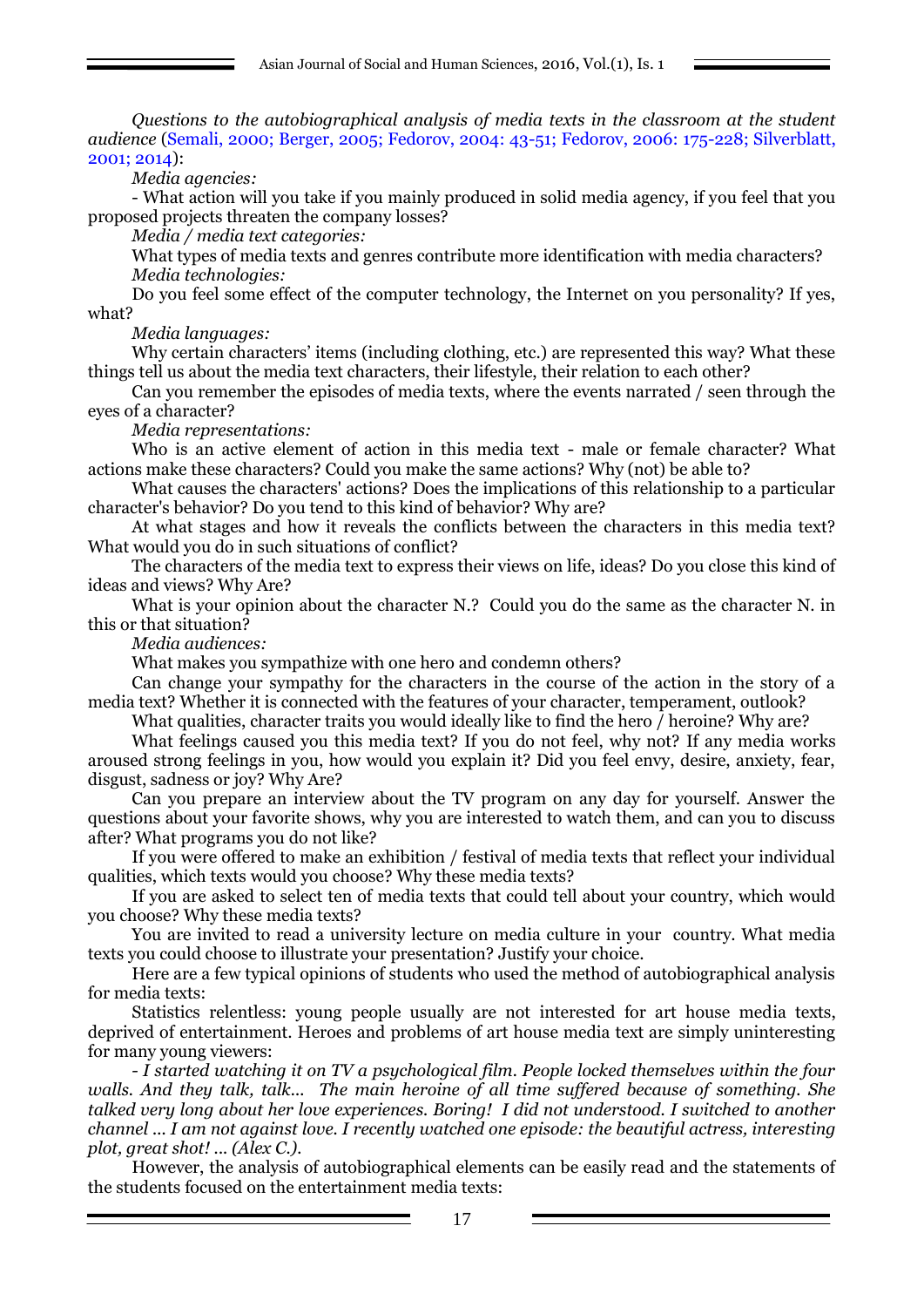*Questions to the autobiographical analysis of media texts in the classroom at the student audience* (Semali, 2000; Berger, 2005; Fedorov, 2004: 43-51; Fedorov, 2006: 175-228; Silverblatt, 2001; 2014):

*Media agencies:*

- What action will you take if you mainly produced in solid media agency, if you feel that you proposed projects threaten the company losses?

*Media / media text categories:*

What types of media texts and genres contribute more identification with media characters? *Media technologies:*

Do you feel some effect of the computer technology, the Internet on you personality? If yes, what?

*Media languages:*

Why certain characters' items (including clothing, etc.) are represented this way? What these things tell us about the media text characters, their lifestyle, their relation to each other?

Can you remember the episodes of media texts, where the events narrated / seen through the eyes of a character?

*Media representations:*

Who is an active element of action in this media text - male or female character? What actions make these characters? Could you make the same actions? Why (not) be able to?

What causes the characters' actions? Does the implications of this relationship to a particular character's behavior? Do you tend to this kind of behavior? Why are?

At what stages and how it reveals the conflicts between the characters in this media text? What would you do in such situations of conflict?

The characters of the media text to express their views on life, ideas? Do you close this kind of ideas and views? Why Are?

What is your opinion about the character N.? Could you do the same as the character N. in this or that situation?

*Media audiences:*

What makes you sympathize with one hero and condemn others?

Can change your sympathy for the characters in the course of the action in the story of a media text? Whether it is connected with the features of your character, temperament, outlook?

What qualities, character traits you would ideally like to find the hero  $\overline{\ell}$  heroine? Why are?

What feelings caused you this media text? If you do not feel, why not? If any media works aroused strong feelings in you, how would you explain it? Did you feel envy, desire, anxiety, fear, disgust, sadness or joy? Why Are?

Can you prepare an interview about the TV program on any day for yourself. Answer the questions about your favorite shows, why you are interested to watch them, and can you to discuss after? What programs you do not like?

If you were offered to make an exhibition / festival of media texts that reflect your individual qualities, which texts would you choose? Why these media texts?

If you are asked to select ten of media texts that could tell about your country, which would you choose? Why these media texts?

You are invited to read a university lecture on media culture in your country. What media texts you could choose to illustrate your presentation? Justify your choice.

Here are a few typical opinions of students who used the method of autobiographical analysis for media texts:

Statistics relentless: young people usually are not interested for art house media texts, deprived of entertainment. Heroes and problems of art house media text are simply uninteresting for many young viewers:

*- I started watching it on TV a psychological film. People locked themselves within the four walls. And they talk, talk... The main heroine of all time suffered because of something. She talked very long about her love experiences. Boring! I did not understood. I switched to another channel ... I am not against love. I recently watched one episode: the beautiful actress, interesting plot, great shot! ... (Alex C.).*

However, the analysis of autobiographical elements can be easily read and the statements of the students focused on the entertainment media texts: